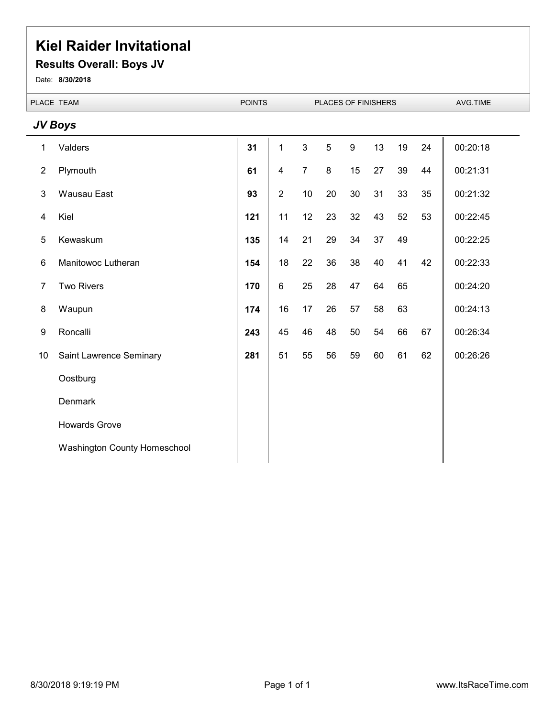#### **Results Overall: Boys JV**

Date: **8/30/2018**

|                | PLACE TEAM                   | <b>POINTS</b> |                |                | PLACES OF FINISHERS |                  |    |    | AVG.TIME |          |  |
|----------------|------------------------------|---------------|----------------|----------------|---------------------|------------------|----|----|----------|----------|--|
|                | JV Boys                      |               |                |                |                     |                  |    |    |          |          |  |
| 1              | Valders                      | 31            | 1              | $\mathbf{3}$   | 5                   | $\boldsymbol{9}$ | 13 | 19 | 24       | 00:20:18 |  |
| $\overline{2}$ | Plymouth                     | 61            | $\overline{4}$ | $\overline{7}$ | 8                   | 15               | 27 | 39 | 44       | 00:21:31 |  |
| 3              | Wausau East                  | 93            | $\overline{2}$ | 10             | 20                  | 30               | 31 | 33 | 35       | 00:21:32 |  |
| 4              | Kiel                         | 121           | 11             | 12             | 23                  | 32               | 43 | 52 | 53       | 00:22:45 |  |
| 5              | Kewaskum                     | 135           | 14             | 21             | 29                  | 34               | 37 | 49 |          | 00:22:25 |  |
| $\,6$          | Manitowoc Lutheran           | 154           | 18             | 22             | 36                  | 38               | 40 | 41 | 42       | 00:22:33 |  |
| $\overline{7}$ | <b>Two Rivers</b>            | 170           | 6              | 25             | 28                  | 47               | 64 | 65 |          | 00:24:20 |  |
| 8              | Waupun                       | 174           | 16             | 17             | 26                  | 57               | 58 | 63 |          | 00:24:13 |  |
| 9              | Roncalli                     | 243           | 45             | 46             | 48                  | 50               | 54 | 66 | 67       | 00:26:34 |  |
| 10             | Saint Lawrence Seminary      | 281           | 51             | 55             | 56                  | 59               | 60 | 61 | 62       | 00:26:26 |  |
|                | Oostburg                     |               |                |                |                     |                  |    |    |          |          |  |
|                | <b>Denmark</b>               |               |                |                |                     |                  |    |    |          |          |  |
|                | <b>Howards Grove</b>         |               |                |                |                     |                  |    |    |          |          |  |
|                | Washington County Homeschool |               |                |                |                     |                  |    |    |          |          |  |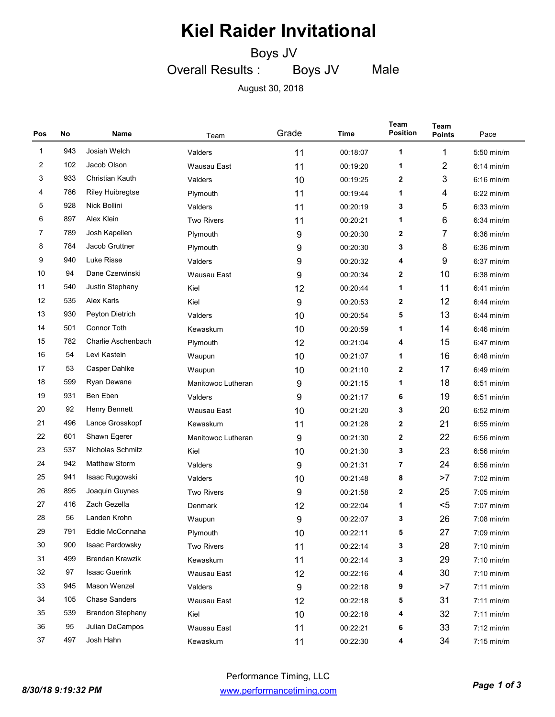Boys JV

Overall Results : Boys JV

Male

August 30, 2018

| Pos          | No  | Name                    | Team               | Grade | Time     | <b>Team</b><br><b>Position</b> | Team<br><b>Points</b> | Pace         |
|--------------|-----|-------------------------|--------------------|-------|----------|--------------------------------|-----------------------|--------------|
| $\mathbf{1}$ | 943 | Josiah Welch            | Valders            | 11    | 00:18:07 | 1                              | 1                     | $5:50$ min/m |
| 2            | 102 | Jacob Olson             | Wausau East        | 11    | 00:19:20 | 1                              | 2                     | $6:14$ min/m |
| 3            | 933 | Christian Kauth         | Valders            | 10    | 00:19:25 | 2                              | 3                     | $6:16$ min/m |
| 4            | 786 | <b>Riley Huibregtse</b> | Plymouth           | 11    | 00:19:44 | 1                              | 4                     | $6:22$ min/m |
| 5            | 928 | Nick Bollini            | Valders            | 11    | 00:20:19 | 3                              | 5                     | $6:33$ min/m |
| 6            | 897 | Alex Klein              | <b>Two Rivers</b>  | 11    | 00:20:21 | 1                              | 6                     | $6:34$ min/m |
| 7            | 789 | Josh Kapellen           | Plymouth           | 9     | 00:20:30 | 2                              | 7                     | $6:36$ min/m |
| 8            | 784 | Jacob Gruttner          | Plymouth           | 9     | 00:20:30 | 3                              | 8                     | $6:36$ min/m |
| 9            | 940 | Luke Risse              | Valders            | 9     | 00:20:32 | 4                              | 9                     | $6:37$ min/m |
| 10           | 94  | Dane Czerwinski         | Wausau East        | 9     | 00:20:34 | 2                              | 10                    | $6:38$ min/m |
| 11           | 540 | Justin Stephany         | Kiel               | 12    | 00:20:44 | 1                              | 11                    | $6:41$ min/m |
| 12           | 535 | Alex Karls              | Kiel               | 9     | 00:20:53 | 2                              | 12                    | $6:44$ min/m |
| 13           | 930 | Peyton Dietrich         | Valders            | 10    | 00:20:54 | 5                              | 13                    | $6:44$ min/m |
| 14           | 501 | <b>Connor Toth</b>      | Kewaskum           | 10    | 00:20:59 | 1                              | 14                    | $6:46$ min/m |
| 15           | 782 | Charlie Aschenbach      | Plymouth           | 12    | 00:21:04 | 4                              | 15                    | $6:47$ min/m |
| 16           | 54  | Levi Kastein            | Waupun             | 10    | 00:21:07 | 1                              | 16                    | $6:48$ min/m |
| 17           | 53  | Casper Dahlke           | Waupun             | 10    | 00:21:10 | 2                              | 17                    | $6:49$ min/m |
| 18           | 599 | Ryan Dewane             | Manitowoc Lutheran | 9     | 00:21:15 | 1                              | 18                    | $6:51$ min/m |
| 19           | 931 | Ben Eben                | Valders            | 9     | 00:21:17 | 6                              | 19                    | $6:51$ min/m |
| 20           | 92  | Henry Bennett           | Wausau East        | 10    | 00:21:20 | 3                              | 20                    | $6:52$ min/m |
| 21           | 496 | Lance Grosskopf         | Kewaskum           | 11    | 00:21:28 | 2                              | 21                    | $6:55$ min/m |
| 22           | 601 | Shawn Egerer            | Manitowoc Lutheran | 9     | 00:21:30 | 2                              | 22                    | $6:56$ min/m |
| 23           | 537 | Nicholas Schmitz        | Kiel               | 10    | 00:21:30 | 3                              | 23                    | $6:56$ min/m |
| 24           | 942 | <b>Matthew Storm</b>    | Valders            | 9     | 00:21:31 | 7                              | 24                    | $6:56$ min/m |
| 25           | 941 | Isaac Rugowski          | Valders            | 10    | 00:21:48 | 8                              | >7                    | 7:02 min/m   |
| 26           | 895 | Joaquin Guynes          | <b>Two Rivers</b>  | 9     | 00:21:58 | 2                              | 25                    | $7:05$ min/m |
| 27           | 416 | Zach Gezella            | Denmark            | 12    | 00:22:04 | 1                              | $<$ 5                 | 7:07 min/m   |
| 28           | 56  | Landen Krohn            | Waupun             | 9     | 00:22:07 | 3                              | 26                    | $7:08$ min/m |
| 29           | 791 | Eddie McConnaha         | Plymouth           | 10    | 00:22:11 | 5                              | 27                    | 7:09 min/m   |
| 30           | 900 | Isaac Pardowsky         | Two Rivers         | 11    | 00:22:14 | 3                              | 28                    | 7:10 min/m   |
| 31           | 499 | <b>Brendan Krawzik</b>  | Kewaskum           | 11    | 00:22:14 | 3                              | 29                    | 7:10 min/m   |
| 32           | 97  | <b>Isaac Guerink</b>    | Wausau East        | 12    | 00:22:16 | 4                              | 30                    | 7:10 min/m   |
| 33           | 945 | Mason Wenzel            | Valders            | 9     | 00:22:18 | 9                              | >7                    | $7:11$ min/m |
| 34           | 105 | <b>Chase Sanders</b>    | Wausau East        | 12    | 00:22:18 | 5                              | 31                    | $7:11$ min/m |
| 35           | 539 | <b>Brandon Stephany</b> | Kiel               | 10    | 00:22:18 | 4                              | 32                    | $7:11$ min/m |
| 36           | 95  | Julian DeCampos         | Wausau East        | 11    | 00:22:21 | 6                              | 33                    | $7:12$ min/m |
| 37           | 497 | Josh Hahn               | Kewaskum           | 11    | 00:22:30 | 4                              | 34                    | $7:15$ min/m |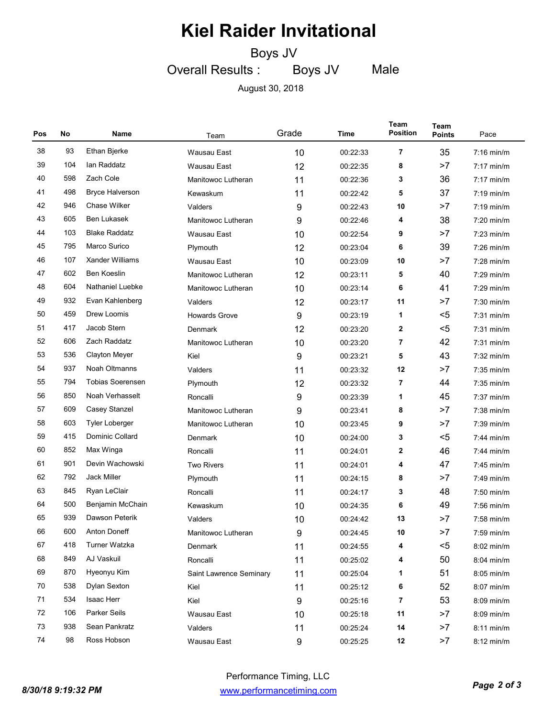Boys JV

Overall Results : Boys JV

Male

August 30, 2018

| Pos | No  | Name                    | Team                    | Grade | Time     | Team<br><b>Position</b> | Team<br><b>Points</b> | Pace         |
|-----|-----|-------------------------|-------------------------|-------|----------|-------------------------|-----------------------|--------------|
| 38  | 93  | Ethan Bjerke            | <b>Wausau East</b>      | 10    | 00:22:33 | 7                       | 35                    | $7:16$ min/m |
| 39  | 104 | lan Raddatz             | Wausau East             | 12    | 00:22:35 | 8                       | >7                    | $7:17$ min/m |
| 40  | 598 | Zach Cole               | Manitowoc Lutheran      | 11    | 00:22:36 | 3                       | 36                    | $7:17$ min/m |
| 41  | 498 | <b>Bryce Halverson</b>  | Kewaskum                | 11    | 00:22:42 | 5                       | 37                    | $7:19$ min/m |
| 42  | 946 | <b>Chase Wilker</b>     | Valders                 | 9     | 00:22:43 | 10                      | >7                    | $7:19$ min/m |
| 43  | 605 | <b>Ben Lukasek</b>      | Manitowoc Lutheran      | 9     | 00:22:46 | 4                       | 38                    | $7:20$ min/m |
| 44  | 103 | <b>Blake Raddatz</b>    | Wausau East             | 10    | 00:22:54 | 9                       | >7                    | $7:23$ min/m |
| 45  | 795 | Marco Surico            | Plymouth                | 12    | 00:23:04 | 6                       | 39                    | $7:26$ min/m |
| 46  | 107 | <b>Xander Williams</b>  | Wausau East             | 10    | 00:23:09 | 10                      | >7                    | $7:28$ min/m |
| 47  | 602 | <b>Ben Koeslin</b>      | Manitowoc Lutheran      | 12    | 00:23:11 | 5                       | 40                    | $7:29$ min/m |
| 48  | 604 | Nathaniel Luebke        | Manitowoc Lutheran      | 10    | 00:23:14 | 6                       | 41                    | $7:29$ min/m |
| 49  | 932 | Evan Kahlenberg         | Valders                 | 12    | 00:23:17 | 11                      | >7                    | $7:30$ min/m |
| 50  | 459 | Drew Loomis             | <b>Howards Grove</b>    | 9     | 00:23:19 | 1                       | $5$                   | $7:31$ min/m |
| 51  | 417 | Jacob Stern             | Denmark                 | 12    | 00:23:20 | $\mathbf{2}$            | $5$                   | $7:31$ min/m |
| 52  | 606 | Zach Raddatz            | Manitowoc Lutheran      | 10    | 00:23:20 | 7                       | 42                    | $7:31$ min/m |
| 53  | 536 | <b>Clayton Meyer</b>    | Kiel                    | 9     | 00:23:21 | 5                       | 43                    | $7:32$ min/m |
| 54  | 937 | Noah Oltmanns           | Valders                 | 11    | 00:23:32 | 12                      | >7                    | $7:35$ min/m |
| 55  | 794 | <b>Tobias Soerensen</b> | Plymouth                | 12    | 00:23:32 | 7                       | 44                    | $7:35$ min/m |
| 56  | 850 | Noah Verhasselt         | Roncalli                | 9     | 00:23:39 | 1                       | 45                    | $7:37$ min/m |
| 57  | 609 | Casey Stanzel           | Manitowoc Lutheran      | 9     | 00:23:41 | 8                       | >7                    | $7:38$ min/m |
| 58  | 603 | <b>Tyler Loberger</b>   | Manitowoc Lutheran      | 10    | 00:23:45 | 9                       | >7                    | $7:39$ min/m |
| 59  | 415 | Dominic Collard         | Denmark                 | 10    | 00:24:00 | 3                       | $5$                   | $7:44$ min/m |
| 60  | 852 | Max Winga               | Roncalli                | 11    | 00:24:01 | $\mathbf{2}$            | 46                    | $7:44$ min/m |
| 61  | 901 | Devin Wachowski         | <b>Two Rivers</b>       | 11    | 00:24:01 | 4                       | 47                    | $7:45$ min/m |
| 62  | 792 | <b>Jack Miller</b>      | Plymouth                | 11    | 00:24:15 | 8                       | >7                    | $7:49$ min/m |
| 63  | 845 | Ryan LeClair            | Roncalli                | 11    | 00:24:17 | 3                       | 48                    | $7:50$ min/m |
| 64  | 500 | Benjamin McChain        | Kewaskum                | 10    | 00:24:35 | 6                       | 49                    | $7:56$ min/m |
| 65  | 939 | Dawson Peterik          | Valders                 | 10    | 00:24:42 | 13                      | >7                    | 7:58 min/m   |
| 66  | 600 | Anton Doneff            | Manitowoc Lutheran      | 9     | 00:24:45 | 10                      | >7                    | 7:59 min/m   |
| 67  | 418 | Turner Watzka           | Denmark                 | 11    | 00:24:55 | 4                       | $5$                   | 8:02 min/m   |
| 68  | 849 | AJ Vaskuil              | Roncalli                | 11    | 00:25:02 | 4                       | 50                    | 8:04 min/m   |
| 69  | 870 | Hyeonyu Kim             | Saint Lawrence Seminary | 11    | 00:25:04 | 1                       | 51                    | 8:05 min/m   |
| 70  | 538 | Dylan Sexton            | Kiel                    | 11    | 00:25:12 | 6                       | 52                    | 8:07 min/m   |
| 71  | 534 | Isaac Herr              | Kiel                    | 9     | 00:25:16 | $\overline{7}$          | 53                    | 8:09 min/m   |
| 72  | 106 | Parker Seils            | Wausau East             | 10    | 00:25:18 | 11                      | >7                    | 8:09 min/m   |
| 73  | 938 | Sean Pankratz           | Valders                 | 11    | 00:25:24 | 14                      | >7                    | $8:11$ min/m |
| 74  | 98  | Ross Hobson             | Wausau East             | 9     | 00:25:25 | 12                      | >7                    | 8:12 min/m   |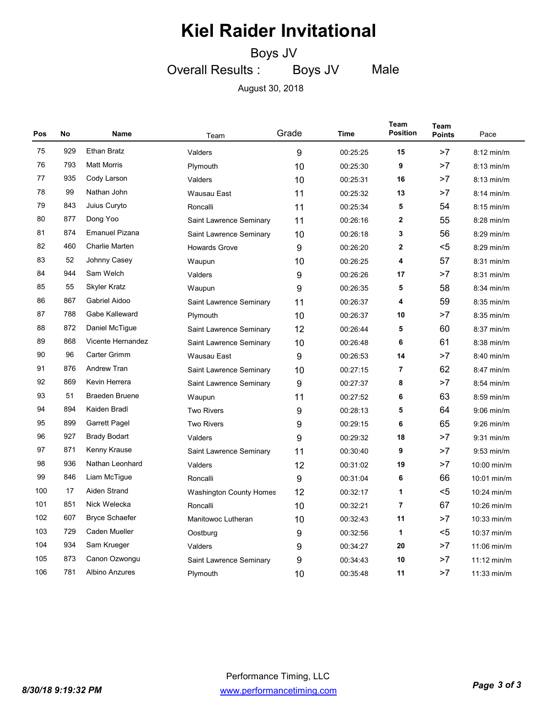Boys JV

Overall Results : Boys JV

Male

August 30, 2018

| Pos | No  | Name                  | Team                    | Grade | Time     | Team<br><b>Position</b> | Team<br><b>Points</b> | Pace          |
|-----|-----|-----------------------|-------------------------|-------|----------|-------------------------|-----------------------|---------------|
| 75  | 929 | <b>Ethan Bratz</b>    | Valders                 | 9     | 00:25:25 | 15                      | >7                    | $8:12$ min/m  |
| 76  | 793 | <b>Matt Morris</b>    | Plymouth                | 10    | 00:25:30 | 9                       | >7                    | $8:13$ min/m  |
| 77  | 935 | Cody Larson           | Valders                 | 10    | 00:25:31 | 16                      | >7                    | $8:13$ min/m  |
| 78  | 99  | Nathan John           | <b>Wausau East</b>      | 11    | 00:25:32 | 13                      | >7                    | $8:14$ min/m  |
| 79  | 843 | Juius Curyto          | Roncalli                | 11    | 00:25:34 | 5                       | 54                    | $8:15$ min/m  |
| 80  | 877 | Dong Yoo              | Saint Lawrence Seminary | 11    | 00:26:16 | $\mathbf{2}$            | 55                    | $8:28$ min/m  |
| 81  | 874 | <b>Emanuel Pizana</b> | Saint Lawrence Seminary | 10    | 00:26:18 | 3                       | 56                    | $8:29$ min/m  |
| 82  | 460 | <b>Charlie Marten</b> | <b>Howards Grove</b>    | 9     | 00:26:20 | $\mathbf 2$             | <5                    | $8:29$ min/m  |
| 83  | 52  | Johnny Casey          | Waupun                  | 10    | 00:26:25 | 4                       | 57                    | $8:31$ min/m  |
| 84  | 944 | Sam Welch             | Valders                 | 9     | 00:26:26 | 17                      | >7                    | $8:31$ min/m  |
| 85  | 55  | <b>Skyler Kratz</b>   | Waupun                  | 9     | 00:26:35 | 5                       | 58                    | 8:34 min/m    |
| 86  | 867 | Gabriel Aidoo         | Saint Lawrence Seminary | 11    | 00:26:37 | 4                       | 59                    | $8:35$ min/m  |
| 87  | 788 | Gabe Kalleward        | Plymouth                | 10    | 00:26:37 | 10                      | >7                    | $8:35$ min/m  |
| 88  | 872 | Daniel McTigue        | Saint Lawrence Seminary | 12    | 00:26:44 | 5                       | 60                    | $8:37$ min/m  |
| 89  | 868 | Vicente Hernandez     | Saint Lawrence Seminary | 10    | 00:26:48 | 6                       | 61                    | 8:38 min/m    |
| 90  | 96  | Carter Grimm          | Wausau East             | 9     | 00:26:53 | 14                      | >7                    | $8:40$ min/m  |
| 91  | 876 | <b>Andrew Tran</b>    | Saint Lawrence Seminary | 10    | 00:27:15 | $\overline{7}$          | 62                    | 8:47 min/m    |
| 92  | 869 | Kevin Herrera         | Saint Lawrence Seminary | 9     | 00:27:37 | 8                       | >7                    | $8:54$ min/m  |
| 93  | 51  | <b>Braeden Bruene</b> | Waupun                  | 11    | 00:27:52 | 6                       | 63                    | 8:59 min/m    |
| 94  | 894 | Kaiden Bradl          | <b>Two Rivers</b>       | 9     | 00:28:13 | 5                       | 64                    | $9:06$ min/m  |
| 95  | 899 | <b>Garrett Pagel</b>  | <b>Two Rivers</b>       | 9     | 00:29:15 | 6                       | 65                    | $9:26$ min/m  |
| 96  | 927 | <b>Brady Bodart</b>   | Valders                 | 9     | 00:29:32 | 18                      | >7                    | $9:31$ min/m  |
| 97  | 871 | Kenny Krause          | Saint Lawrence Seminary | 11    | 00:30:40 | 9                       | >7                    | $9:53$ min/m  |
| 98  | 936 | Nathan Leonhard       | Valders                 | 12    | 00:31:02 | 19                      | >7                    | 10:00 min/m   |
| 99  | 846 | Liam McTigue          | Roncalli                | 9     | 00:31:04 | 6                       | 66                    | 10:01 min/m   |
| 100 | 17  | Aiden Strand          | Washington County Homes | 12    | 00:32:17 | 1                       | $5$                   | 10:24 min/m   |
| 101 | 851 | Nick Welecka          | Roncalli                | 10    | 00:32:21 | $\overline{7}$          | 67                    | 10:26 min/m   |
| 102 | 607 | <b>Bryce Schaefer</b> | Manitowoc Lutheran      | 10    | 00:32:43 | 11                      | >7                    | 10:33 min/m   |
| 103 | 729 | Caden Mueller         | Oostburg                | 9     | 00:32:56 | 1                       | $5$                   | 10:37 min/m   |
| 104 | 934 | Sam Krueger           | Valders                 | 9     | 00:34:27 | 20                      | >7                    | 11:06 min/m   |
| 105 | 873 | Canon Ozwongu         | Saint Lawrence Seminary | 9     | 00:34:43 | 10                      | >7                    | $11:12$ min/m |
| 106 | 781 | Albino Anzures        | Plymouth                | 10    | 00:35:48 | 11                      | >7                    | $11:33$ min/m |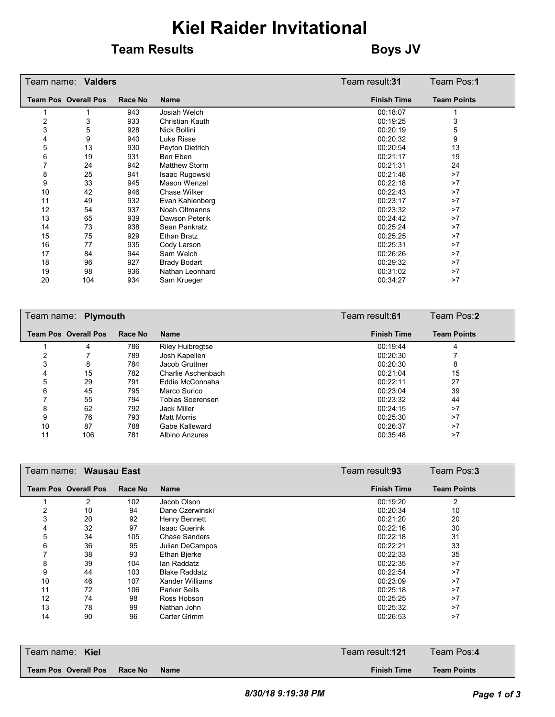#### **Team Results Boys** JV

|    | Team name: <b>Valders</b>   |         |                        | Team result: <b>31</b> | Team Pos: <b>1</b> |
|----|-----------------------------|---------|------------------------|------------------------|--------------------|
|    | <b>Team Pos Overall Pos</b> | Race No | <b>Name</b>            | <b>Finish Time</b>     | <b>Team Points</b> |
|    |                             | 943     | Josiah Welch           | 00:18:07               |                    |
| 2  | 3                           | 933     | <b>Christian Kauth</b> | 00:19:25               | 3                  |
| 3  | 5                           | 928     | Nick Bollini           | 00:20:19               | 5                  |
| 4  | 9                           | 940     | Luke Risse             | 00:20:32               | 9                  |
| 5  | 13                          | 930     | Peyton Dietrich        | 00:20:54               | 13                 |
| 6  | 19                          | 931     | Ben Eben               | 00:21:17               | 19                 |
|    | 24                          | 942     | <b>Matthew Storm</b>   | 00:21:31               | 24                 |
| 8  | 25                          | 941     | Isaac Rugowski         | 00:21:48               | >7                 |
| 9  | 33                          | 945     | Mason Wenzel           | 00:22:18               | >7                 |
| 10 | 42                          | 946     | Chase Wilker           | 00:22:43               | >7                 |
| 11 | 49                          | 932     | Evan Kahlenberg        | 00:23:17               | >7                 |
| 12 | 54                          | 937     | Noah Oltmanns          | 00:23:32               | >7                 |
| 13 | 65                          | 939     | Dawson Peterik         | 00:24:42               | >7                 |
| 14 | 73                          | 938     | Sean Pankratz          | 00:25:24               | >7                 |
| 15 | 75                          | 929     | Ethan Bratz            | 00:25:25               | >7                 |
| 16 | 77                          | 935     | Cody Larson            | 00:25:31               | >7                 |
| 17 | 84                          | 944     | Sam Welch              | 00:26:26               | >7                 |
| 18 | 96                          | 927     | <b>Brady Bodart</b>    | 00:29:32               | >7                 |
| 19 | 98                          | 936     | Nathan Leonhard        | 00:31:02               | >7                 |
| 20 | 104                         | 934     | Sam Krueger            | 00:34:27               | >7                 |

|    | Team name: Plymouth         |         |                         | Team result:61     | Team Pos:2         |
|----|-----------------------------|---------|-------------------------|--------------------|--------------------|
|    | <b>Team Pos Overall Pos</b> | Race No | <b>Name</b>             | <b>Finish Time</b> | <b>Team Points</b> |
|    | 4                           | 786     | <b>Riley Huibregtse</b> | 00:19:44           | 4                  |
|    |                             | 789     | Josh Kapellen           | 00:20:30           |                    |
| 3  | 8                           | 784     | Jacob Gruttner          | 00:20:30           | 8                  |
| 4  | 15                          | 782     | Charlie Aschenbach      | 00:21:04           | 15                 |
| 5  | 29                          | 791     | Eddie McConnaha         | 00:22:11           | 27                 |
| 6  | 45                          | 795     | Marco Surico            | 00:23:04           | 39                 |
|    | 55                          | 794     | <b>Tobias Soerensen</b> | 00:23:32           | 44                 |
| 8  | 62                          | 792     | Jack Miller             | 00:24:15           | >7                 |
| 9  | 76                          | 793     | <b>Matt Morris</b>      | 00:25:30           | >7                 |
| 10 | 87                          | 788     | Gabe Kalleward          | 00:26:37           | >7                 |
| 11 | 106                         | 781     | Albino Anzures          | 00:35:48           | >7                 |

| Team name: _ |                             | <b>Wausau East</b> |                      | Team result:93     | Team Pos:3         |
|--------------|-----------------------------|--------------------|----------------------|--------------------|--------------------|
|              | <b>Team Pos Overall Pos</b> | Race No            | <b>Name</b>          | <b>Finish Time</b> | <b>Team Points</b> |
|              | 2                           | 102                | Jacob Olson          | 00:19:20           | 2                  |
| 2            | 10                          | 94                 | Dane Czerwinski      | 00:20:34           | 10                 |
| 3            | 20                          | 92                 | Henry Bennett        | 00:21:20           | 20                 |
| 4            | 32                          | 97                 | <b>Isaac Guerink</b> | 00:22:16           | 30                 |
| 5            | 34                          | 105                | <b>Chase Sanders</b> | 00:22:18           | 31                 |
| 6            | 36                          | 95                 | Julian DeCampos      | 00:22:21           | 33                 |
|              | 38                          | 93                 | Ethan Bjerke         | 00:22:33           | 35                 |
| 8            | 39                          | 104                | lan Raddatz          | 00:22:35           | >7                 |
| 9            | 44                          | 103                | <b>Blake Raddatz</b> | 00:22:54           | >7                 |
| 10           | 46                          | 107                | Xander Williams      | 00:23:09           | >7                 |
| 11           | 72                          | 106                | Parker Seils         | 00:25:18           | >7                 |
| 12           | 74                          | 98                 | Ross Hobson          | 00:25:25           | >7                 |
| 13           | 78                          | 99                 | Nathan John          | 00:25:32           | >7                 |
| 14           | 90                          | 96                 | <b>Carter Grimm</b>  | 00:26:53           | >7                 |

| Team name: Kiel             |         |             | Team result: <b>121</b> | Team Pos:4         |  |
|-----------------------------|---------|-------------|-------------------------|--------------------|--|
| <b>Team Pos Overall Pos</b> | Race No | <b>Name</b> | <b>Finish Time</b>      | <b>Team Points</b> |  |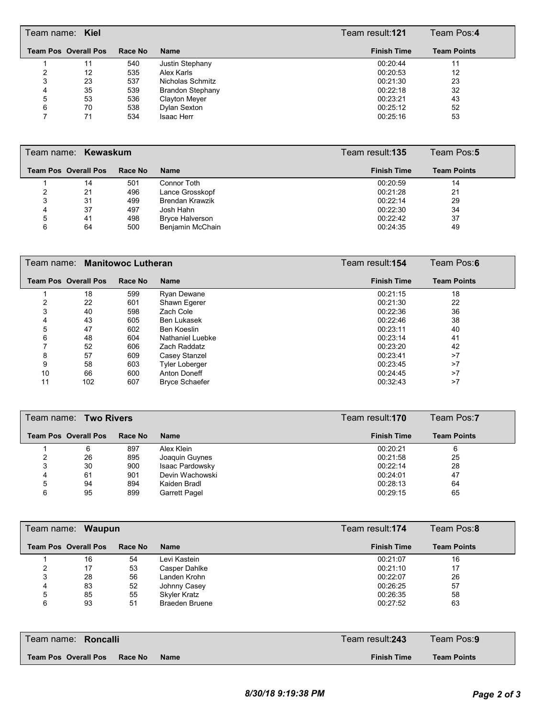|   | Team name: Kiel             |         |                         | Team result:121    | Team Pos:4         |  |
|---|-----------------------------|---------|-------------------------|--------------------|--------------------|--|
|   | <b>Team Pos Overall Pos</b> | Race No | <b>Name</b>             | <b>Finish Time</b> | <b>Team Points</b> |  |
|   | 11                          | 540     | Justin Stephany         | 00:20:44           | 11                 |  |
|   | 12                          | 535     | Alex Karls              | 00:20:53           | 12                 |  |
| 3 | 23                          | 537     | Nicholas Schmitz        | 00:21:30           | 23                 |  |
| 4 | 35                          | 539     | <b>Brandon Stephany</b> | 00:22:18           | 32                 |  |
| 5 | 53                          | 536     | Clayton Meyer           | 00:23:21           | 43                 |  |
| 6 | 70                          | 538     | Dylan Sexton            | 00:25:12           | 52                 |  |
|   | 71                          | 534     | <b>Isaac Herr</b>       | 00:25:16           | 53                 |  |

|   | Team name: Kewaskum         |         |                        | Team result: <b>135</b> | Team Pos:5         |
|---|-----------------------------|---------|------------------------|-------------------------|--------------------|
|   | <b>Team Pos Overall Pos</b> | Race No | <b>Name</b>            | <b>Finish Time</b>      | <b>Team Points</b> |
|   | 14                          | 501     | Connor Toth            | 00:20:59                | 14                 |
|   | 21                          | 496     | Lance Grosskopf        | 00:21:28                | 21                 |
|   | 31                          | 499     | <b>Brendan Krawzik</b> | 00:22:14                | 29                 |
| 4 | 37                          | 497     | Josh Hahn              | 00:22:30                | 34                 |
| 5 | 41                          | 498     | <b>Bryce Halverson</b> | 00:22:42                | 37                 |
| 6 | 64                          | 500     | Benjamin McChain       | 00:24:35                | 49                 |

|    | Team name:   Manitowoc Lutheran |         |                       | Team result: <b>154</b> | Team Pos:6         |
|----|---------------------------------|---------|-----------------------|-------------------------|--------------------|
|    | <b>Team Pos Overall Pos</b>     | Race No | <b>Name</b>           | <b>Finish Time</b>      | <b>Team Points</b> |
|    | 18                              | 599     | <b>Ryan Dewane</b>    | 00:21:15                | 18                 |
|    | 22                              | 601     | Shawn Egerer          | 00:21:30                | 22                 |
|    | 40                              | 598     | Zach Cole             | 00:22:36                | 36                 |
| 4  | 43                              | 605     | Ben Lukasek           | 00:22:46                | 38                 |
| 5  | 47                              | 602     | Ben Koeslin           | 00:23:11                | 40                 |
| 6  | 48                              | 604     | Nathaniel Luebke      | 00:23:14                | 41                 |
|    | 52                              | 606     | Zach Raddatz          | 00:23:20                | 42                 |
| 8  | 57                              | 609     | Casey Stanzel         | 00:23:41                | >7                 |
| 9  | 58                              | 603     | <b>Tyler Loberger</b> | 00:23:45                | >7                 |
| 10 | 66                              | 600     | Anton Doneff          | 00:24:45                | >7                 |
| 11 | 102                             | 607     | <b>Bryce Schaefer</b> | 00:32:43                | >7                 |

|   | Team name: Two Rivers       |         |                      | Team result: <b>170</b> | Team Pos:7         |
|---|-----------------------------|---------|----------------------|-------------------------|--------------------|
|   | <b>Team Pos Overall Pos</b> | Race No | <b>Name</b>          | <b>Finish Time</b>      | <b>Team Points</b> |
|   | 6                           | 897     | Alex Klein           | 00:20:21                | 6                  |
|   | 26                          | 895     | Joaquin Guynes       | 00:21:58                | 25                 |
|   | 30                          | 900     | Isaac Pardowsky      | 00:22:14                | 28                 |
| 4 | 61                          | 901     | Devin Wachowski      | 00:24:01                | 47                 |
| 5 | 94                          | 894     | Kaiden Bradl         | 00:28:13                | 64                 |
| 6 | 95                          | 899     | <b>Garrett Pagel</b> | 00:29:15                | 65                 |

| Team name: Waupun |                             |         |                       | Team Pos:8<br>Team result:174 |                    |  |
|-------------------|-----------------------------|---------|-----------------------|-------------------------------|--------------------|--|
|                   | <b>Team Pos Overall Pos</b> | Race No | <b>Name</b>           | <b>Finish Time</b>            | <b>Team Points</b> |  |
|                   | 16                          | 54      | Levi Kastein          | 00:21:07                      | 16                 |  |
| ົ                 | 17                          | 53      | Casper Dahlke         | 00:21:10                      | 17                 |  |
| 3                 | 28                          | 56      | Landen Krohn          | 00:22:07                      | 26                 |  |
| 4                 | 83                          | 52      | Johnny Casey          | 00:26:25                      | 57                 |  |
| 5                 | 85                          | 55      | Skyler Kratz          | 00:26:35                      | 58                 |  |
| 6                 | 93                          | 51      | <b>Braeden Bruene</b> | 00:27:52                      | 63                 |  |

| l Team name: <b>Roncalli</b>            | Team result: <b>243</b> | Team Pos: <b>9</b> |
|-----------------------------------------|-------------------------|--------------------|
| Team Pos Overall Pos<br>Race No<br>Name | <b>Finish Time</b>      | <b>Team Points</b> |